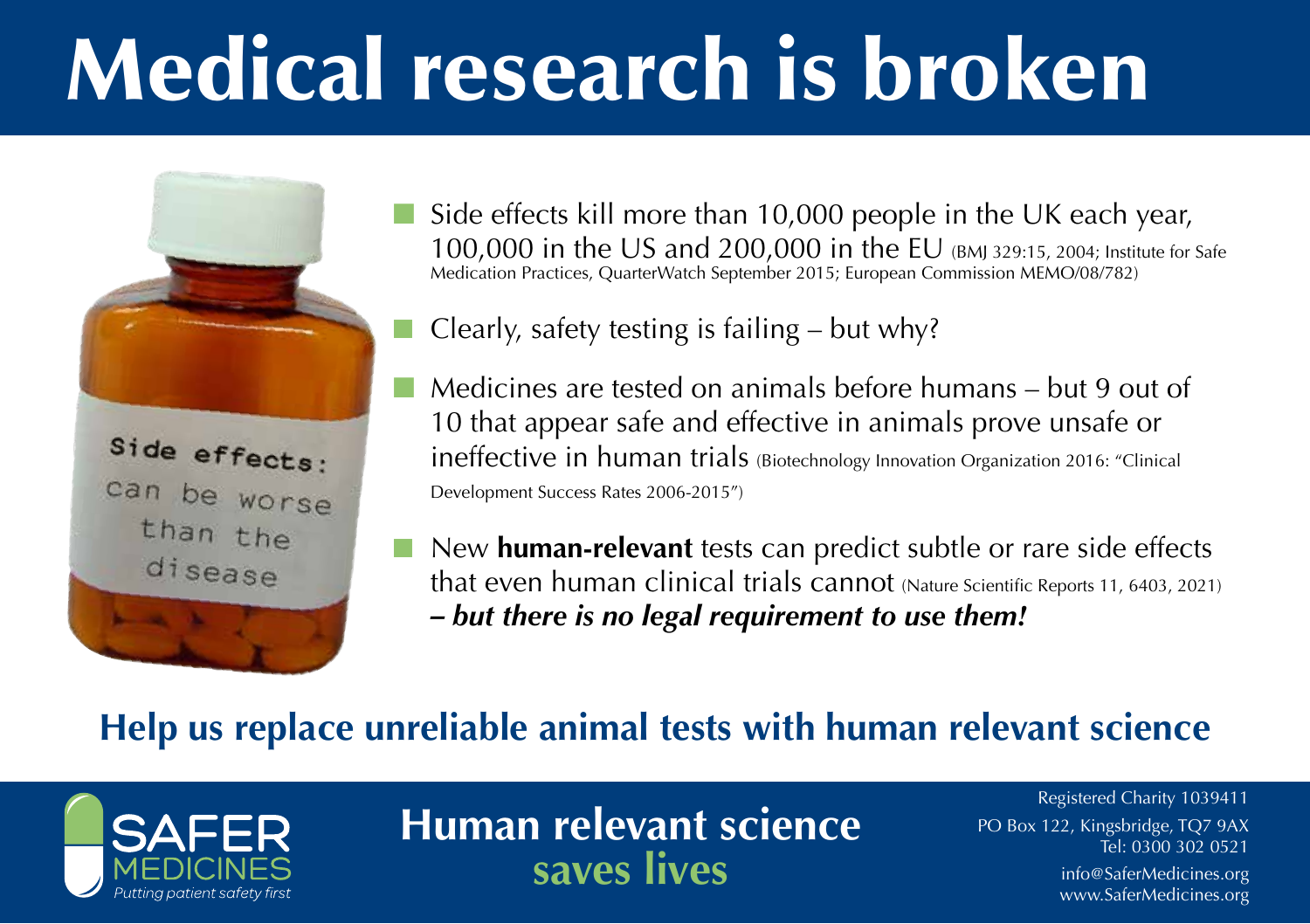# Medical research is broken



Side effects kill more than 10,000 people in the UK each year, 100,000 in the US and 200,000 in the EU (BMJ 329:15, 2004; Institute for Safe Medication Practices, QuarterWatch September 2015; European Commission MEMO/08/782)

Clearly, safety testing is failing  $-$  but why?

- Medicines are tested on animals before humans but 9 out of 10 that appear safe and effective in animals prove unsafe or ineffective in human trials (Biotechnology Innovation Organization 2016: "Clinical Development Success Rates 2006-2015")
- New **human-relevant** tests can predict subtle or rare side effects that even human clinical trials cannot (Nature Scientific Reports 11, 6403, 2021) *– but there is no legal requirement to use them!*

#### **Help us replace unreliable animal tests with human relevant science**



**Human relevant science saves lives**

Registered Charity 1039411 PO Box 122, Kingsbridge, TQ7 9AX Tel: 0300 302 0521

info@SaferMedicines.org www.SaferMedicines.org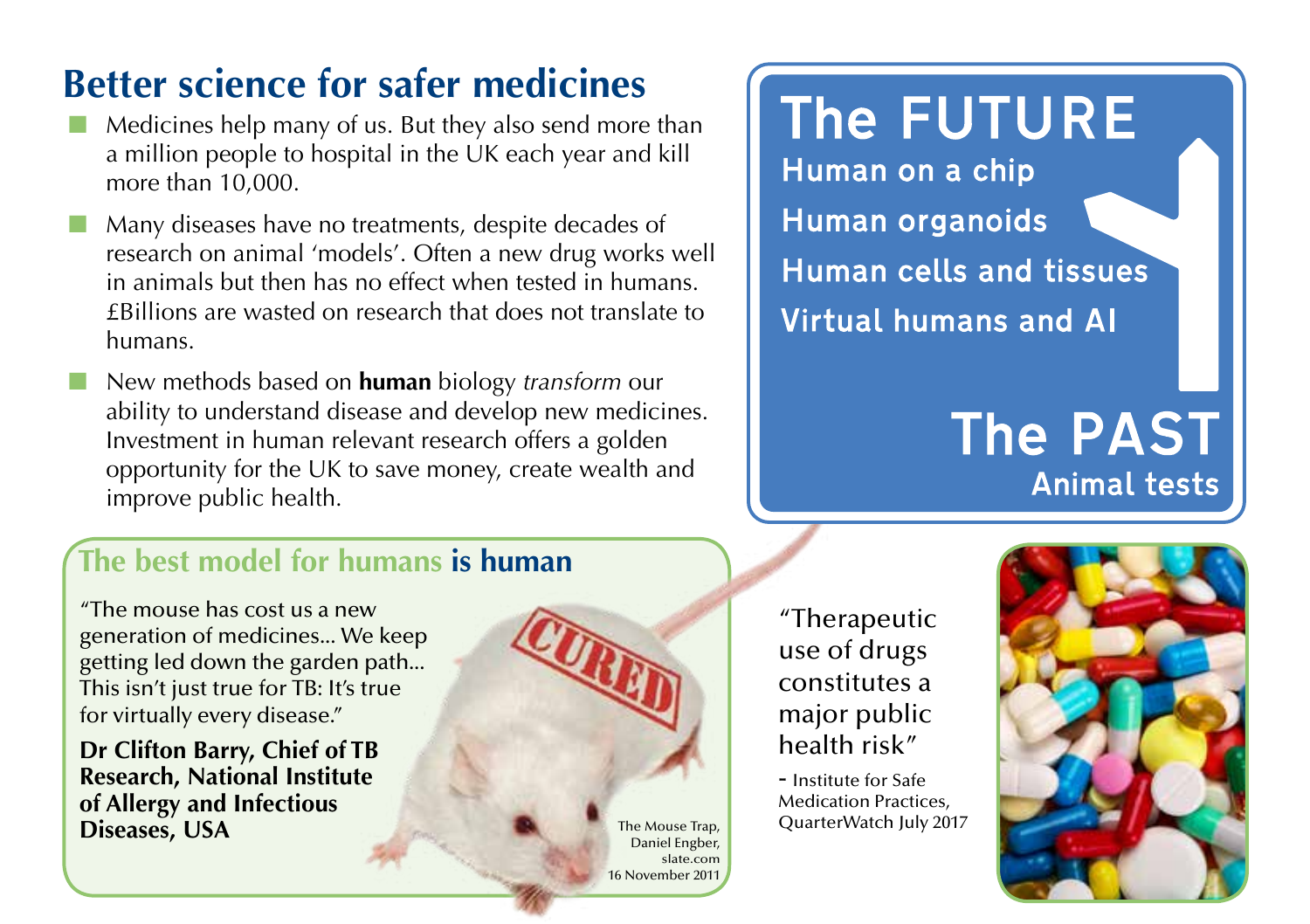## **Better science for safer medicines**

- Medicines help many of us. But they also send more than a million people to hospital in the UK each year and kill more than 10,000.
- Many diseases have no treatments, despite decades of research on animal 'models'. Often a new drug works well in animals but then has no effect when tested in humans. £Billions are wasted on research that does not translate to humans.
- New methods based on **human** biology *transform* our ability to understand disease and develop new medicines. Investment in human relevant research offers a golden opportunity for the UK to save money, create wealth and improve public health.

## **The FUTURE**

Human on a chip **Human organoids Human cells and tissues Virtual humans and AI** 

## **The PAST Animal tests**

#### **The best model for humans is human**

"The mouse has cost us a new generation of medicines... We keep getting led down the garden path... This isn't just true for TB: It's true for virtually every disease."

**Dr Clifton Barry, Chief of TB Research, National Institute of Allergy and Infectious Diseases, USA** The Mouse Trap,



"Therapeutic use of drugs constitutes a major public health risk"

- Institute for Safe Medication Practices, QuarterWatch July 2017

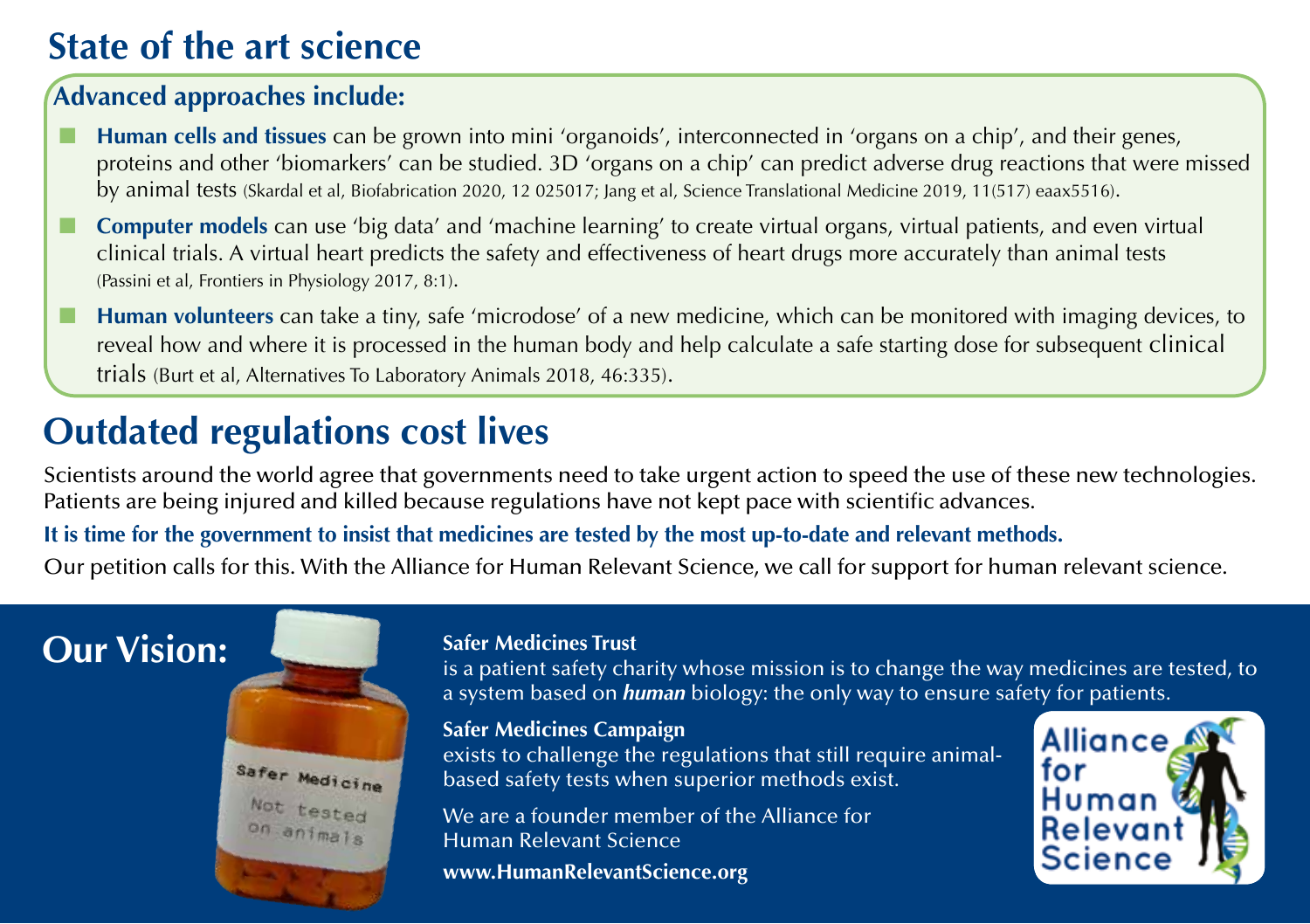#### **State of the art science**

#### **Advanced approaches include:**

- **Human cells and tissues** can be grown into mini 'organoids', interconnected in 'organs on a chip', and their genes, proteins and other 'biomarkers' can be studied. 3D 'organs on a chip' can predict adverse drug reactions that were missed by animal tests (Skardal et al, Biofabrication 2020, 12 025017; Jang et al, Science Translational Medicine 2019, 11(517) eaax5516).
- **Computer models** can use 'big data' and 'machine learning' to create virtual organs, virtual patients, and even virtual clinical trials. A virtual heart predicts the safety and effectiveness of heart drugs more accurately than animal tests (Passini et al, Frontiers in Physiology 2017, 8:1).
- **Human volunteers** can take a tiny, safe 'microdose' of a new medicine, which can be monitored with imaging devices, to reveal how and where it is processed in the human body and help calculate a safe starting dose for subsequent clinical trials (Burt et al, Alternatives To Laboratory Animals 2018, 46:335).

## **Outdated regulations cost lives**

Scientists around the world agree that governments need to take urgent action to speed the use of these new technologies. Patients are being injured and killed because regulations have not kept pace with scientific advances.

**It is time for the government to insist that medicines are tested by the most up-to-date and relevant methods.**

Our petition calls for this. With the Alliance for Human Relevant Science, we call for support for human relevant science.

#### **Our Vision:**



#### **Safer Medicines Trust**

is a patient safety charity whose mission is to change the way medicines are tested, to a system based on *human* biology: the only way to ensure safety for patients.

**Safer Medicines Campaign** exists to challenge the regulations that still require animalbased safety tests when superior methods exist.

We are a founder member of the Alliance for Human Relevant Science

**www.HumanRelevantScience.org**